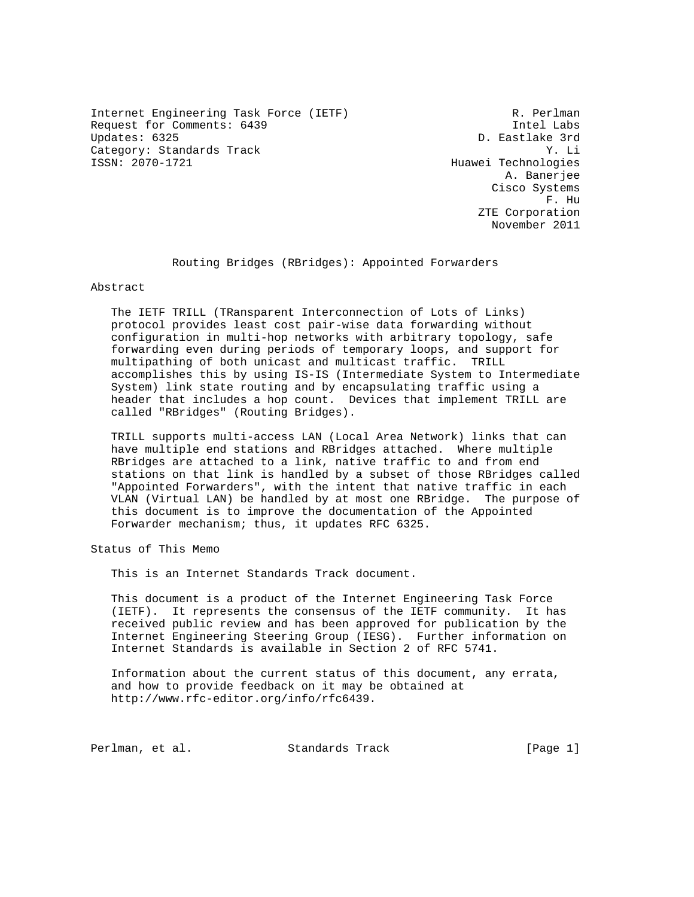Internet Engineering Task Force (IETF) R. Perlman Request for Comments: 6439 Intel Labs Category: Standards Track Y. Li

D. Eastlake 3rd Huawei Technologies A. Banerjee Cisco Systems F. Hu ZTE Corporation November 2011

Routing Bridges (RBridges): Appointed Forwarders

Abstract

 The IETF TRILL (TRansparent Interconnection of Lots of Links) protocol provides least cost pair-wise data forwarding without configuration in multi-hop networks with arbitrary topology, safe forwarding even during periods of temporary loops, and support for multipathing of both unicast and multicast traffic. TRILL accomplishes this by using IS-IS (Intermediate System to Intermediate System) link state routing and by encapsulating traffic using a header that includes a hop count. Devices that implement TRILL are called "RBridges" (Routing Bridges).

 TRILL supports multi-access LAN (Local Area Network) links that can have multiple end stations and RBridges attached. Where multiple RBridges are attached to a link, native traffic to and from end stations on that link is handled by a subset of those RBridges called "Appointed Forwarders", with the intent that native traffic in each VLAN (Virtual LAN) be handled by at most one RBridge. The purpose of this document is to improve the documentation of the Appointed Forwarder mechanism; thus, it updates RFC 6325.

Status of This Memo

This is an Internet Standards Track document.

 This document is a product of the Internet Engineering Task Force (IETF). It represents the consensus of the IETF community. It has received public review and has been approved for publication by the Internet Engineering Steering Group (IESG). Further information on Internet Standards is available in Section 2 of RFC 5741.

 Information about the current status of this document, any errata, and how to provide feedback on it may be obtained at http://www.rfc-editor.org/info/rfc6439.

Perlman, et al. Standards Track [Page 1]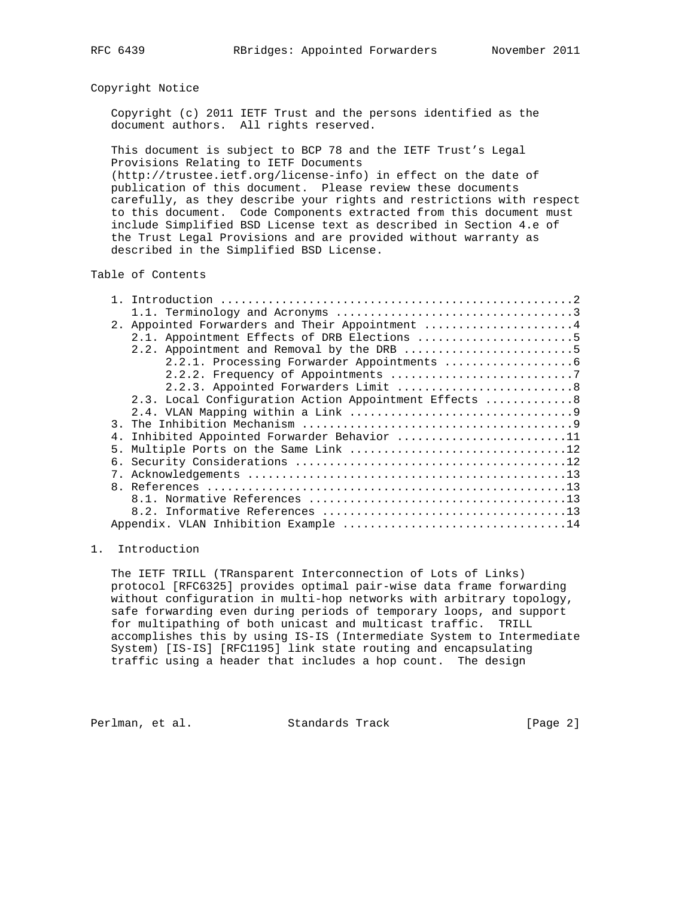## Copyright Notice

 Copyright (c) 2011 IETF Trust and the persons identified as the document authors. All rights reserved.

 This document is subject to BCP 78 and the IETF Trust's Legal Provisions Relating to IETF Documents

 (http://trustee.ietf.org/license-info) in effect on the date of publication of this document. Please review these documents carefully, as they describe your rights and restrictions with respect to this document. Code Components extracted from this document must include Simplified BSD License text as described in Section 4.e of the Trust Legal Provisions and are provided without warranty as described in the Simplified BSD License.

## Table of Contents

| 2. Appointed Forwarders and Their Appointment 4       |  |
|-------------------------------------------------------|--|
| 2.1. Appointment Effects of DRB Elections 5           |  |
| 2.2. Appointment and Removal by the DRB 5             |  |
|                                                       |  |
|                                                       |  |
| 2.2.3. Appointed Forwarders Limit 8                   |  |
| 2.3. Local Configuration Action Appointment Effects 8 |  |
|                                                       |  |
| $\mathcal{R}$                                         |  |
| Inhibited Appointed Forwarder Behavior 11<br>4.       |  |
| 5.                                                    |  |
|                                                       |  |
|                                                       |  |
|                                                       |  |
|                                                       |  |
|                                                       |  |
|                                                       |  |
|                                                       |  |

## 1. Introduction

 The IETF TRILL (TRansparent Interconnection of Lots of Links) protocol [RFC6325] provides optimal pair-wise data frame forwarding without configuration in multi-hop networks with arbitrary topology, safe forwarding even during periods of temporary loops, and support for multipathing of both unicast and multicast traffic. TRILL accomplishes this by using IS-IS (Intermediate System to Intermediate System) [IS-IS] [RFC1195] link state routing and encapsulating traffic using a header that includes a hop count. The design

Perlman, et al. Standards Track [Page 2]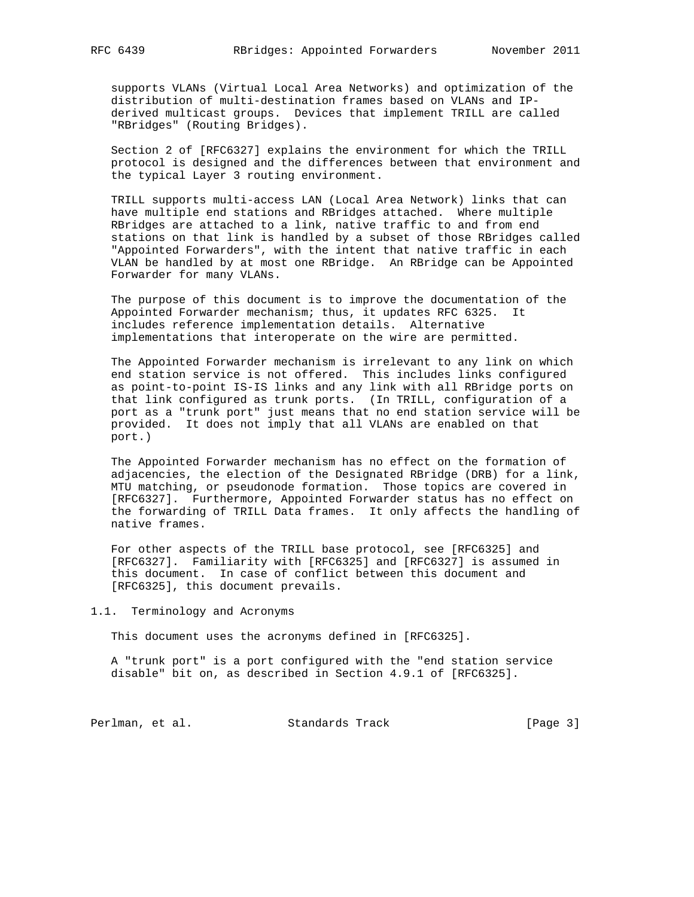supports VLANs (Virtual Local Area Networks) and optimization of the distribution of multi-destination frames based on VLANs and IP derived multicast groups. Devices that implement TRILL are called "RBridges" (Routing Bridges).

 Section 2 of [RFC6327] explains the environment for which the TRILL protocol is designed and the differences between that environment and the typical Layer 3 routing environment.

 TRILL supports multi-access LAN (Local Area Network) links that can have multiple end stations and RBridges attached. Where multiple RBridges are attached to a link, native traffic to and from end stations on that link is handled by a subset of those RBridges called "Appointed Forwarders", with the intent that native traffic in each VLAN be handled by at most one RBridge. An RBridge can be Appointed Forwarder for many VLANs.

 The purpose of this document is to improve the documentation of the Appointed Forwarder mechanism; thus, it updates RFC 6325. It includes reference implementation details. Alternative implementations that interoperate on the wire are permitted.

 The Appointed Forwarder mechanism is irrelevant to any link on which end station service is not offered. This includes links configured as point-to-point IS-IS links and any link with all RBridge ports on that link configured as trunk ports. (In TRILL, configuration of a port as a "trunk port" just means that no end station service will be provided. It does not imply that all VLANs are enabled on that port.)

 The Appointed Forwarder mechanism has no effect on the formation of adjacencies, the election of the Designated RBridge (DRB) for a link, MTU matching, or pseudonode formation. Those topics are covered in [RFC6327]. Furthermore, Appointed Forwarder status has no effect on the forwarding of TRILL Data frames. It only affects the handling of native frames.

 For other aspects of the TRILL base protocol, see [RFC6325] and [RFC6327]. Familiarity with [RFC6325] and [RFC6327] is assumed in this document. In case of conflict between this document and [RFC6325], this document prevails.

# 1.1. Terminology and Acronyms

This document uses the acronyms defined in [RFC6325].

 A "trunk port" is a port configured with the "end station service disable" bit on, as described in Section 4.9.1 of [RFC6325].

Perlman, et al. Standards Track [Page 3]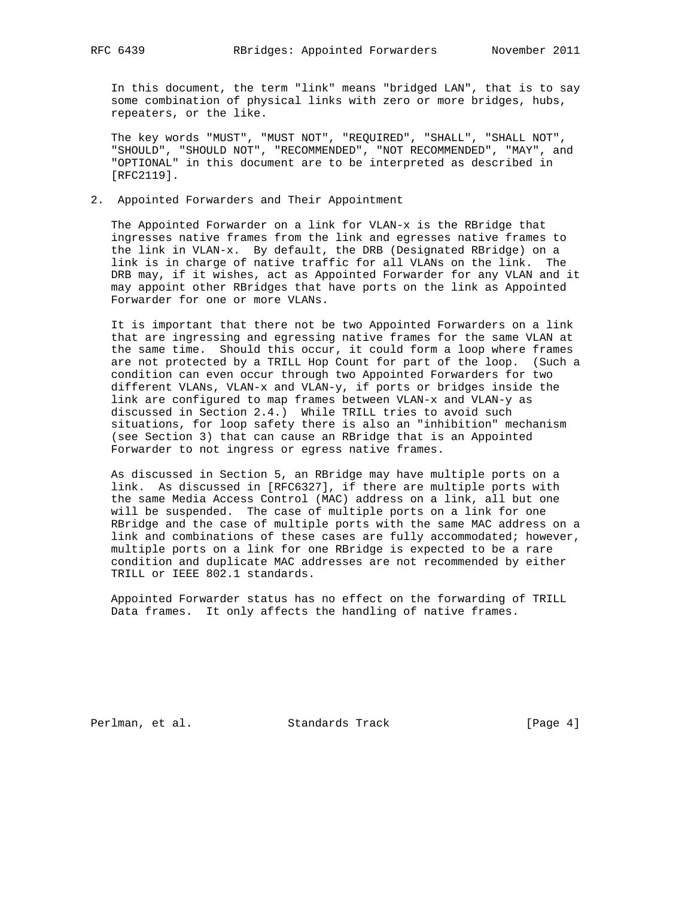In this document, the term "link" means "bridged LAN", that is to say some combination of physical links with zero or more bridges, hubs, repeaters, or the like.

 The key words "MUST", "MUST NOT", "REQUIRED", "SHALL", "SHALL NOT", "SHOULD", "SHOULD NOT", "RECOMMENDED", "NOT RECOMMENDED", "MAY", and "OPTIONAL" in this document are to be interpreted as described in [RFC2119].

## 2. Appointed Forwarders and Their Appointment

 The Appointed Forwarder on a link for VLAN-x is the RBridge that ingresses native frames from the link and egresses native frames to the link in VLAN-x. By default, the DRB (Designated RBridge) on a link is in charge of native traffic for all VLANs on the link. The DRB may, if it wishes, act as Appointed Forwarder for any VLAN and it may appoint other RBridges that have ports on the link as Appointed Forwarder for one or more VLANs.

 It is important that there not be two Appointed Forwarders on a link that are ingressing and egressing native frames for the same VLAN at the same time. Should this occur, it could form a loop where frames are not protected by a TRILL Hop Count for part of the loop. (Such a condition can even occur through two Appointed Forwarders for two different VLANs, VLAN-x and VLAN-y, if ports or bridges inside the link are configured to map frames between VLAN-x and VLAN-y as discussed in Section 2.4.) While TRILL tries to avoid such situations, for loop safety there is also an "inhibition" mechanism (see Section 3) that can cause an RBridge that is an Appointed Forwarder to not ingress or egress native frames.

 As discussed in Section 5, an RBridge may have multiple ports on a link. As discussed in [RFC6327], if there are multiple ports with the same Media Access Control (MAC) address on a link, all but one will be suspended. The case of multiple ports on a link for one RBridge and the case of multiple ports with the same MAC address on a link and combinations of these cases are fully accommodated; however, multiple ports on a link for one RBridge is expected to be a rare condition and duplicate MAC addresses are not recommended by either TRILL or IEEE 802.1 standards.

 Appointed Forwarder status has no effect on the forwarding of TRILL Data frames. It only affects the handling of native frames.

Perlman, et al. Standards Track [Page 4]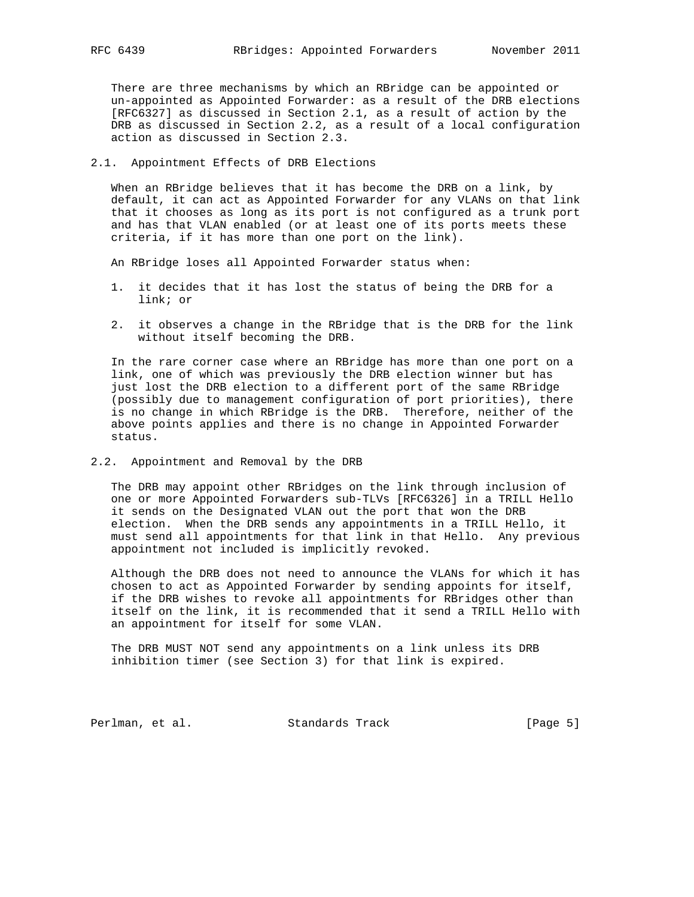There are three mechanisms by which an RBridge can be appointed or un-appointed as Appointed Forwarder: as a result of the DRB elections [RFC6327] as discussed in Section 2.1, as a result of action by the DRB as discussed in Section 2.2, as a result of a local configuration action as discussed in Section 2.3.

## 2.1. Appointment Effects of DRB Elections

 When an RBridge believes that it has become the DRB on a link, by default, it can act as Appointed Forwarder for any VLANs on that link that it chooses as long as its port is not configured as a trunk port and has that VLAN enabled (or at least one of its ports meets these criteria, if it has more than one port on the link).

An RBridge loses all Appointed Forwarder status when:

- 1. it decides that it has lost the status of being the DRB for a link; or
- 2. it observes a change in the RBridge that is the DRB for the link without itself becoming the DRB.

 In the rare corner case where an RBridge has more than one port on a link, one of which was previously the DRB election winner but has just lost the DRB election to a different port of the same RBridge (possibly due to management configuration of port priorities), there is no change in which RBridge is the DRB. Therefore, neither of the above points applies and there is no change in Appointed Forwarder status.

#### 2.2. Appointment and Removal by the DRB

 The DRB may appoint other RBridges on the link through inclusion of one or more Appointed Forwarders sub-TLVs [RFC6326] in a TRILL Hello it sends on the Designated VLAN out the port that won the DRB election. When the DRB sends any appointments in a TRILL Hello, it must send all appointments for that link in that Hello. Any previous appointment not included is implicitly revoked.

 Although the DRB does not need to announce the VLANs for which it has chosen to act as Appointed Forwarder by sending appoints for itself, if the DRB wishes to revoke all appointments for RBridges other than itself on the link, it is recommended that it send a TRILL Hello with an appointment for itself for some VLAN.

 The DRB MUST NOT send any appointments on a link unless its DRB inhibition timer (see Section 3) for that link is expired.

Perlman, et al. Standards Track [Page 5]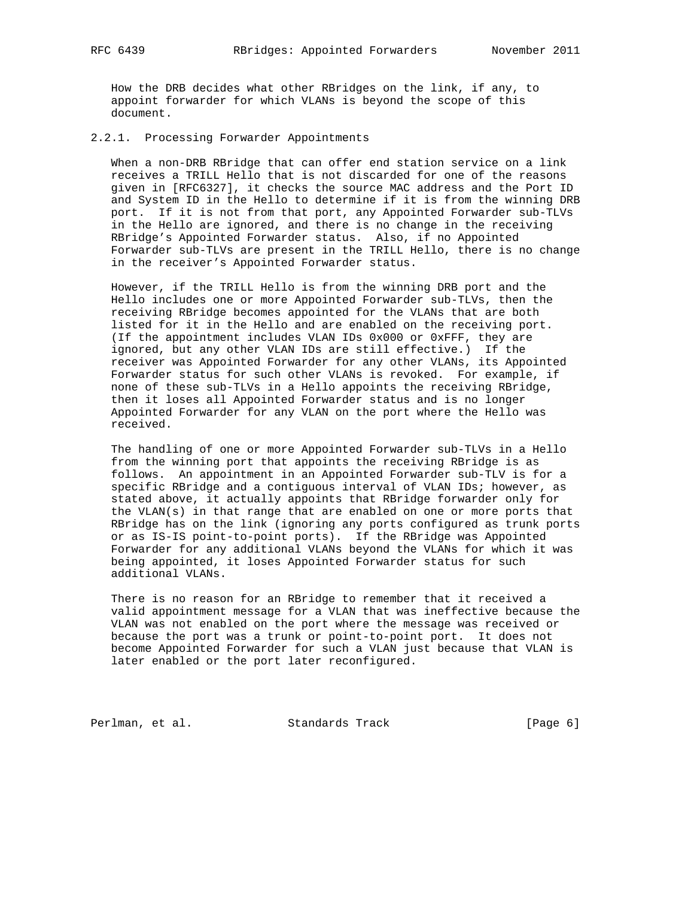How the DRB decides what other RBridges on the link, if any, to appoint forwarder for which VLANs is beyond the scope of this document.

## 2.2.1. Processing Forwarder Appointments

 When a non-DRB RBridge that can offer end station service on a link receives a TRILL Hello that is not discarded for one of the reasons given in [RFC6327], it checks the source MAC address and the Port ID and System ID in the Hello to determine if it is from the winning DRB port. If it is not from that port, any Appointed Forwarder sub-TLVs in the Hello are ignored, and there is no change in the receiving RBridge's Appointed Forwarder status. Also, if no Appointed Forwarder sub-TLVs are present in the TRILL Hello, there is no change in the receiver's Appointed Forwarder status.

 However, if the TRILL Hello is from the winning DRB port and the Hello includes one or more Appointed Forwarder sub-TLVs, then the receiving RBridge becomes appointed for the VLANs that are both listed for it in the Hello and are enabled on the receiving port. (If the appointment includes VLAN IDs 0x000 or 0xFFF, they are ignored, but any other VLAN IDs are still effective.) If the receiver was Appointed Forwarder for any other VLANs, its Appointed Forwarder status for such other VLANs is revoked. For example, if none of these sub-TLVs in a Hello appoints the receiving RBridge, then it loses all Appointed Forwarder status and is no longer Appointed Forwarder for any VLAN on the port where the Hello was received.

 The handling of one or more Appointed Forwarder sub-TLVs in a Hello from the winning port that appoints the receiving RBridge is as follows. An appointment in an Appointed Forwarder sub-TLV is for a specific RBridge and a contiguous interval of VLAN IDs; however, as stated above, it actually appoints that RBridge forwarder only for the  $VLAN(s)$  in that range that are enabled on one or more ports that RBridge has on the link (ignoring any ports configured as trunk ports or as IS-IS point-to-point ports). If the RBridge was Appointed Forwarder for any additional VLANs beyond the VLANs for which it was being appointed, it loses Appointed Forwarder status for such additional VLANs.

 There is no reason for an RBridge to remember that it received a valid appointment message for a VLAN that was ineffective because the VLAN was not enabled on the port where the message was received or because the port was a trunk or point-to-point port. It does not become Appointed Forwarder for such a VLAN just because that VLAN is later enabled or the port later reconfigured.

Perlman, et al. Standards Track [Page 6]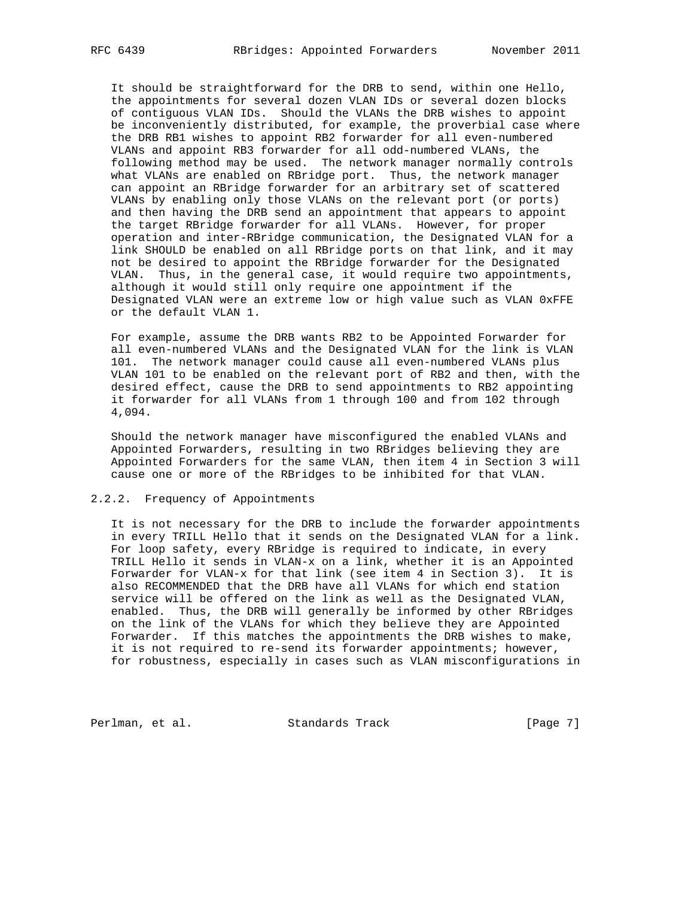It should be straightforward for the DRB to send, within one Hello, the appointments for several dozen VLAN IDs or several dozen blocks of contiguous VLAN IDs. Should the VLANs the DRB wishes to appoint be inconveniently distributed, for example, the proverbial case where the DRB RB1 wishes to appoint RB2 forwarder for all even-numbered VLANs and appoint RB3 forwarder for all odd-numbered VLANs, the following method may be used. The network manager normally controls what VLANs are enabled on RBridge port. Thus, the network manager can appoint an RBridge forwarder for an arbitrary set of scattered VLANs by enabling only those VLANs on the relevant port (or ports) and then having the DRB send an appointment that appears to appoint the target RBridge forwarder for all VLANs. However, for proper operation and inter-RBridge communication, the Designated VLAN for a link SHOULD be enabled on all RBridge ports on that link, and it may not be desired to appoint the RBridge forwarder for the Designated VLAN. Thus, in the general case, it would require two appointments, although it would still only require one appointment if the Designated VLAN were an extreme low or high value such as VLAN 0xFFE or the default VLAN 1.

 For example, assume the DRB wants RB2 to be Appointed Forwarder for all even-numbered VLANs and the Designated VLAN for the link is VLAN 101. The network manager could cause all even-numbered VLANs plus VLAN 101 to be enabled on the relevant port of RB2 and then, with the desired effect, cause the DRB to send appointments to RB2 appointing it forwarder for all VLANs from 1 through 100 and from 102 through 4,094.

 Should the network manager have misconfigured the enabled VLANs and Appointed Forwarders, resulting in two RBridges believing they are Appointed Forwarders for the same VLAN, then item 4 in Section 3 will cause one or more of the RBridges to be inhibited for that VLAN.

## 2.2.2. Frequency of Appointments

 It is not necessary for the DRB to include the forwarder appointments in every TRILL Hello that it sends on the Designated VLAN for a link. For loop safety, every RBridge is required to indicate, in every TRILL Hello it sends in VLAN-x on a link, whether it is an Appointed Forwarder for VLAN-x for that link (see item 4 in Section 3). It is also RECOMMENDED that the DRB have all VLANs for which end station service will be offered on the link as well as the Designated VLAN, enabled. Thus, the DRB will generally be informed by other RBridges on the link of the VLANs for which they believe they are Appointed Forwarder. If this matches the appointments the DRB wishes to make, it is not required to re-send its forwarder appointments; however, for robustness, especially in cases such as VLAN misconfigurations in

Perlman, et al. Standards Track [Page 7]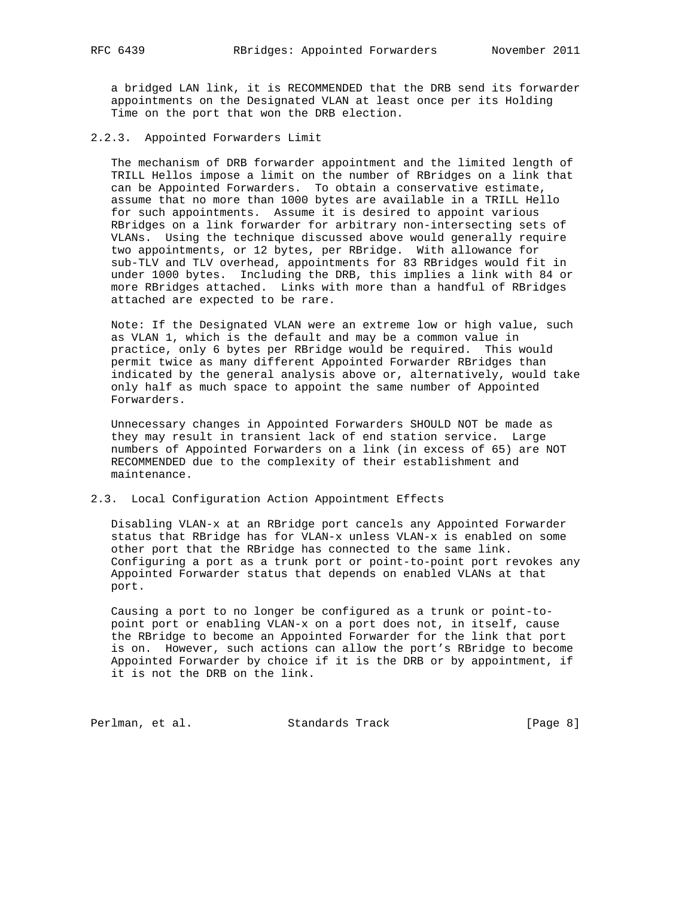a bridged LAN link, it is RECOMMENDED that the DRB send its forwarder appointments on the Designated VLAN at least once per its Holding Time on the port that won the DRB election.

## 2.2.3. Appointed Forwarders Limit

 The mechanism of DRB forwarder appointment and the limited length of TRILL Hellos impose a limit on the number of RBridges on a link that can be Appointed Forwarders. To obtain a conservative estimate, assume that no more than 1000 bytes are available in a TRILL Hello for such appointments. Assume it is desired to appoint various RBridges on a link forwarder for arbitrary non-intersecting sets of VLANs. Using the technique discussed above would generally require two appointments, or 12 bytes, per RBridge. With allowance for sub-TLV and TLV overhead, appointments for 83 RBridges would fit in under 1000 bytes. Including the DRB, this implies a link with 84 or more RBridges attached. Links with more than a handful of RBridges attached are expected to be rare.

 Note: If the Designated VLAN were an extreme low or high value, such as VLAN 1, which is the default and may be a common value in practice, only 6 bytes per RBridge would be required. This would permit twice as many different Appointed Forwarder RBridges than indicated by the general analysis above or, alternatively, would take only half as much space to appoint the same number of Appointed Forwarders.

 Unnecessary changes in Appointed Forwarders SHOULD NOT be made as they may result in transient lack of end station service. Large numbers of Appointed Forwarders on a link (in excess of 65) are NOT RECOMMENDED due to the complexity of their establishment and maintenance.

## 2.3. Local Configuration Action Appointment Effects

 Disabling VLAN-x at an RBridge port cancels any Appointed Forwarder status that RBridge has for VLAN-x unless VLAN-x is enabled on some other port that the RBridge has connected to the same link. Configuring a port as a trunk port or point-to-point port revokes any Appointed Forwarder status that depends on enabled VLANs at that port.

 Causing a port to no longer be configured as a trunk or point-to point port or enabling VLAN-x on a port does not, in itself, cause the RBridge to become an Appointed Forwarder for the link that port is on. However, such actions can allow the port's RBridge to become Appointed Forwarder by choice if it is the DRB or by appointment, if it is not the DRB on the link.

Perlman, et al. Standards Track [Page 8]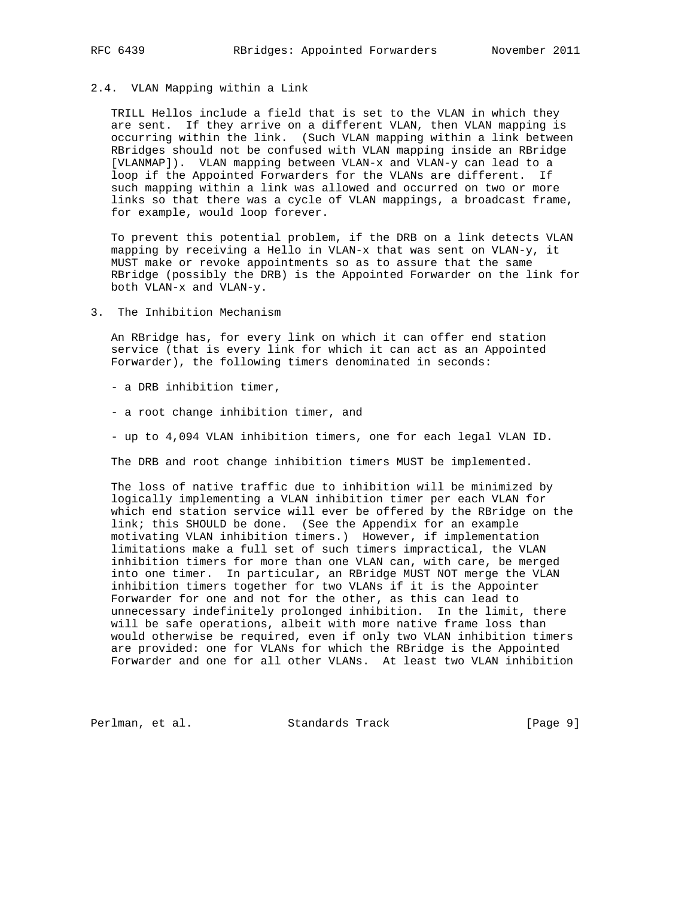## 2.4. VLAN Mapping within a Link

 TRILL Hellos include a field that is set to the VLAN in which they are sent. If they arrive on a different VLAN, then VLAN mapping is occurring within the link. (Such VLAN mapping within a link between RBridges should not be confused with VLAN mapping inside an RBridge [VLANMAP]). VLAN mapping between VLAN-x and VLAN-y can lead to a loop if the Appointed Forwarders for the VLANs are different. If such mapping within a link was allowed and occurred on two or more links so that there was a cycle of VLAN mappings, a broadcast frame, for example, would loop forever.

 To prevent this potential problem, if the DRB on a link detects VLAN mapping by receiving a Hello in VLAN-x that was sent on VLAN-y, it MUST make or revoke appointments so as to assure that the same RBridge (possibly the DRB) is the Appointed Forwarder on the link for both VLAN-x and VLAN-y.

3. The Inhibition Mechanism

 An RBridge has, for every link on which it can offer end station service (that is every link for which it can act as an Appointed Forwarder), the following timers denominated in seconds:

- a DRB inhibition timer,

- a root change inhibition timer, and

- up to 4,094 VLAN inhibition timers, one for each legal VLAN ID.

The DRB and root change inhibition timers MUST be implemented.

 The loss of native traffic due to inhibition will be minimized by logically implementing a VLAN inhibition timer per each VLAN for which end station service will ever be offered by the RBridge on the link; this SHOULD be done. (See the Appendix for an example motivating VLAN inhibition timers.) However, if implementation limitations make a full set of such timers impractical, the VLAN inhibition timers for more than one VLAN can, with care, be merged into one timer. In particular, an RBridge MUST NOT merge the VLAN inhibition timers together for two VLANs if it is the Appointer Forwarder for one and not for the other, as this can lead to unnecessary indefinitely prolonged inhibition. In the limit, there will be safe operations, albeit with more native frame loss than would otherwise be required, even if only two VLAN inhibition timers are provided: one for VLANs for which the RBridge is the Appointed Forwarder and one for all other VLANs. At least two VLAN inhibition

Perlman, et al. Standards Track [Page 9]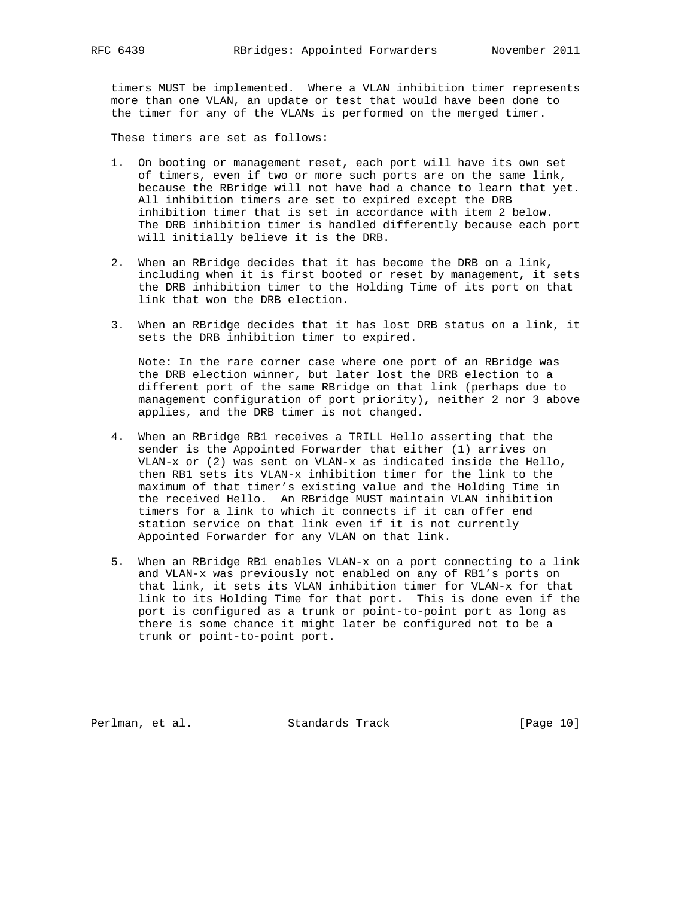timers MUST be implemented. Where a VLAN inhibition timer represents more than one VLAN, an update or test that would have been done to the timer for any of the VLANs is performed on the merged timer.

These timers are set as follows:

- 1. On booting or management reset, each port will have its own set of timers, even if two or more such ports are on the same link, because the RBridge will not have had a chance to learn that yet. All inhibition timers are set to expired except the DRB inhibition timer that is set in accordance with item 2 below. The DRB inhibition timer is handled differently because each port will initially believe it is the DRB.
- 2. When an RBridge decides that it has become the DRB on a link, including when it is first booted or reset by management, it sets the DRB inhibition timer to the Holding Time of its port on that link that won the DRB election.
- 3. When an RBridge decides that it has lost DRB status on a link, it sets the DRB inhibition timer to expired.

 Note: In the rare corner case where one port of an RBridge was the DRB election winner, but later lost the DRB election to a different port of the same RBridge on that link (perhaps due to management configuration of port priority), neither 2 nor 3 above applies, and the DRB timer is not changed.

- 4. When an RBridge RB1 receives a TRILL Hello asserting that the sender is the Appointed Forwarder that either (1) arrives on VLAN-x or (2) was sent on VLAN-x as indicated inside the Hello, then RB1 sets its VLAN-x inhibition timer for the link to the maximum of that timer's existing value and the Holding Time in the received Hello. An RBridge MUST maintain VLAN inhibition timers for a link to which it connects if it can offer end station service on that link even if it is not currently Appointed Forwarder for any VLAN on that link.
- 5. When an RBridge RB1 enables VLAN-x on a port connecting to a link and VLAN-x was previously not enabled on any of RB1's ports on that link, it sets its VLAN inhibition timer for VLAN-x for that link to its Holding Time for that port. This is done even if the port is configured as a trunk or point-to-point port as long as there is some chance it might later be configured not to be a trunk or point-to-point port.

Perlman, et al. Standards Track [Page 10]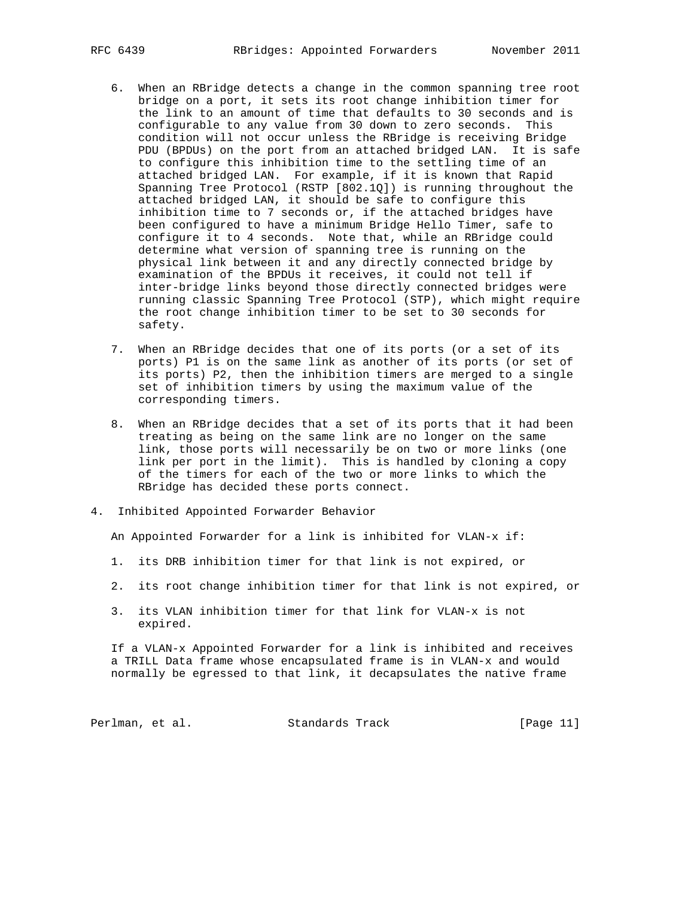- 6. When an RBridge detects a change in the common spanning tree root bridge on a port, it sets its root change inhibition timer for the link to an amount of time that defaults to 30 seconds and is configurable to any value from 30 down to zero seconds. This condition will not occur unless the RBridge is receiving Bridge PDU (BPDUs) on the port from an attached bridged LAN. It is safe to configure this inhibition time to the settling time of an attached bridged LAN. For example, if it is known that Rapid Spanning Tree Protocol (RSTP [802.1Q]) is running throughout the attached bridged LAN, it should be safe to configure this inhibition time to 7 seconds or, if the attached bridges have been configured to have a minimum Bridge Hello Timer, safe to configure it to 4 seconds. Note that, while an RBridge could determine what version of spanning tree is running on the physical link between it and any directly connected bridge by examination of the BPDUs it receives, it could not tell if inter-bridge links beyond those directly connected bridges were running classic Spanning Tree Protocol (STP), which might require the root change inhibition timer to be set to 30 seconds for safety.
- 7. When an RBridge decides that one of its ports (or a set of its ports) P1 is on the same link as another of its ports (or set of its ports) P2, then the inhibition timers are merged to a single set of inhibition timers by using the maximum value of the corresponding timers.
- 8. When an RBridge decides that a set of its ports that it had been treating as being on the same link are no longer on the same link, those ports will necessarily be on two or more links (one link per port in the limit). This is handled by cloning a copy of the timers for each of the two or more links to which the RBridge has decided these ports connect.
- 4. Inhibited Appointed Forwarder Behavior

An Appointed Forwarder for a link is inhibited for VLAN-x if:

- 1. its DRB inhibition timer for that link is not expired, or
- 2. its root change inhibition timer for that link is not expired, or
- 3. its VLAN inhibition timer for that link for VLAN-x is not expired.

 If a VLAN-x Appointed Forwarder for a link is inhibited and receives a TRILL Data frame whose encapsulated frame is in VLAN-x and would normally be egressed to that link, it decapsulates the native frame

| Perlman, et al. | Standards Track | [Page 11] |
|-----------------|-----------------|-----------|
|-----------------|-----------------|-----------|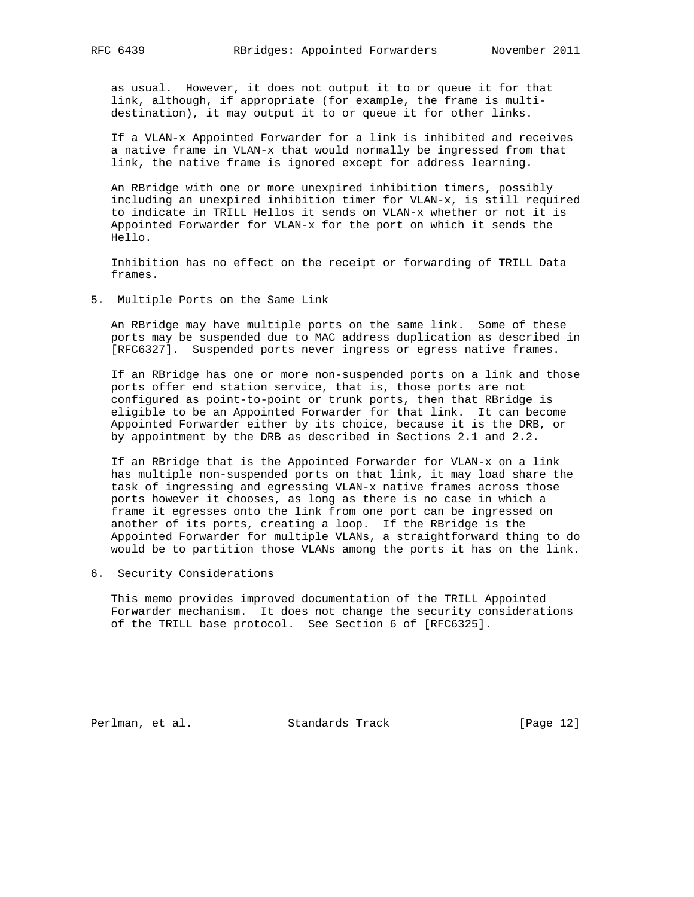as usual. However, it does not output it to or queue it for that link, although, if appropriate (for example, the frame is multi destination), it may output it to or queue it for other links.

 If a VLAN-x Appointed Forwarder for a link is inhibited and receives a native frame in VLAN-x that would normally be ingressed from that link, the native frame is ignored except for address learning.

 An RBridge with one or more unexpired inhibition timers, possibly including an unexpired inhibition timer for VLAN-x, is still required to indicate in TRILL Hellos it sends on VLAN-x whether or not it is Appointed Forwarder for VLAN-x for the port on which it sends the Hello.

 Inhibition has no effect on the receipt or forwarding of TRILL Data frames.

5. Multiple Ports on the Same Link

 An RBridge may have multiple ports on the same link. Some of these ports may be suspended due to MAC address duplication as described in [RFC6327]. Suspended ports never ingress or egress native frames.

 If an RBridge has one or more non-suspended ports on a link and those ports offer end station service, that is, those ports are not configured as point-to-point or trunk ports, then that RBridge is eligible to be an Appointed Forwarder for that link. It can become Appointed Forwarder either by its choice, because it is the DRB, or by appointment by the DRB as described in Sections 2.1 and 2.2.

 If an RBridge that is the Appointed Forwarder for VLAN-x on a link has multiple non-suspended ports on that link, it may load share the task of ingressing and egressing VLAN-x native frames across those ports however it chooses, as long as there is no case in which a frame it egresses onto the link from one port can be ingressed on another of its ports, creating a loop. If the RBridge is the Appointed Forwarder for multiple VLANs, a straightforward thing to do would be to partition those VLANs among the ports it has on the link.

6. Security Considerations

 This memo provides improved documentation of the TRILL Appointed Forwarder mechanism. It does not change the security considerations of the TRILL base protocol. See Section 6 of [RFC6325].

Perlman, et al. Standards Track [Page 12]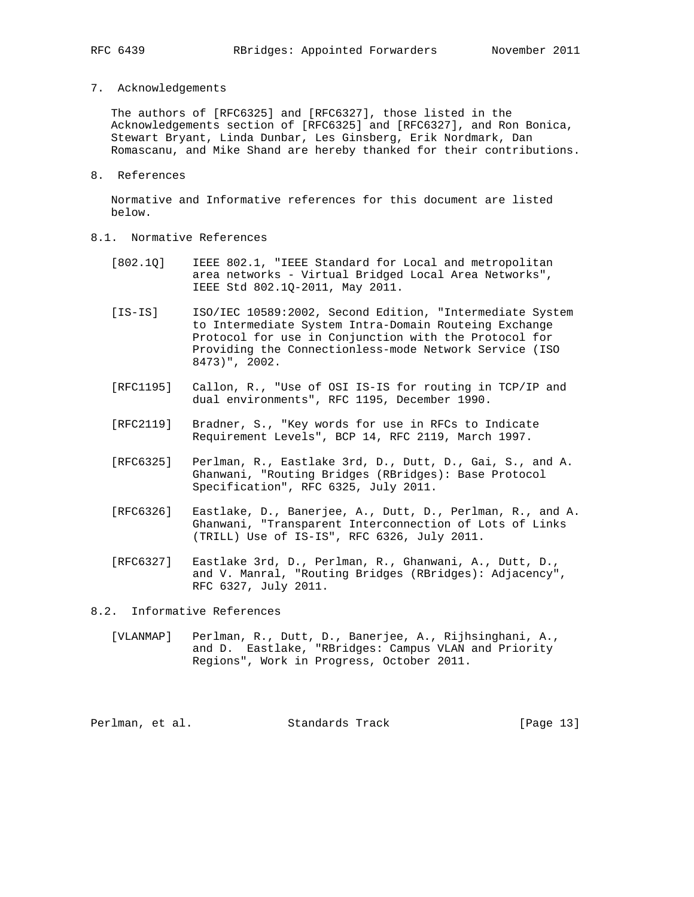7. Acknowledgements

 The authors of [RFC6325] and [RFC6327], those listed in the Acknowledgements section of [RFC6325] and [RFC6327], and Ron Bonica, Stewart Bryant, Linda Dunbar, Les Ginsberg, Erik Nordmark, Dan Romascanu, and Mike Shand are hereby thanked for their contributions.

8. References

 Normative and Informative references for this document are listed below.

- 8.1. Normative References
	- [802.1Q] IEEE 802.1, "IEEE Standard for Local and metropolitan area networks - Virtual Bridged Local Area Networks", IEEE Std 802.1Q-2011, May 2011.
	- [IS-IS] ISO/IEC 10589:2002, Second Edition, "Intermediate System to Intermediate System Intra-Domain Routeing Exchange Protocol for use in Conjunction with the Protocol for Providing the Connectionless-mode Network Service (ISO 8473)", 2002.
	- [RFC1195] Callon, R., "Use of OSI IS-IS for routing in TCP/IP and dual environments", RFC 1195, December 1990.
	- [RFC2119] Bradner, S., "Key words for use in RFCs to Indicate Requirement Levels", BCP 14, RFC 2119, March 1997.
	- [RFC6325] Perlman, R., Eastlake 3rd, D., Dutt, D., Gai, S., and A. Ghanwani, "Routing Bridges (RBridges): Base Protocol Specification", RFC 6325, July 2011.
	- [RFC6326] Eastlake, D., Banerjee, A., Dutt, D., Perlman, R., and A. Ghanwani, "Transparent Interconnection of Lots of Links (TRILL) Use of IS-IS", RFC 6326, July 2011.
	- [RFC6327] Eastlake 3rd, D., Perlman, R., Ghanwani, A., Dutt, D., and V. Manral, "Routing Bridges (RBridges): Adjacency", RFC 6327, July 2011.

8.2. Informative References

 [VLANMAP] Perlman, R., Dutt, D., Banerjee, A., Rijhsinghani, A., and D. Eastlake, "RBridges: Campus VLAN and Priority Regions", Work in Progress, October 2011.

Perlman, et al. Standards Track [Page 13]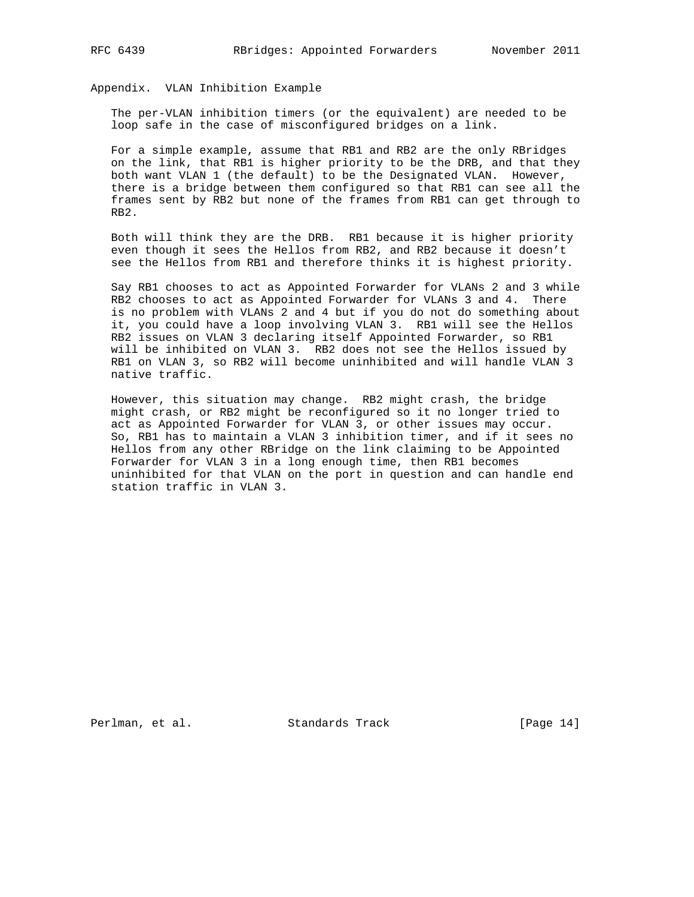Appendix. VLAN Inhibition Example

 The per-VLAN inhibition timers (or the equivalent) are needed to be loop safe in the case of misconfigured bridges on a link.

 For a simple example, assume that RB1 and RB2 are the only RBridges on the link, that RB1 is higher priority to be the DRB, and that they both want VLAN 1 (the default) to be the Designated VLAN. However, there is a bridge between them configured so that RB1 can see all the frames sent by RB2 but none of the frames from RB1 can get through to RB2.

 Both will think they are the DRB. RB1 because it is higher priority even though it sees the Hellos from RB2, and RB2 because it doesn't see the Hellos from RB1 and therefore thinks it is highest priority.

 Say RB1 chooses to act as Appointed Forwarder for VLANs 2 and 3 while RB2 chooses to act as Appointed Forwarder for VLANs 3 and 4. There is no problem with VLANs 2 and 4 but if you do not do something about it, you could have a loop involving VLAN 3. RB1 will see the Hellos RB2 issues on VLAN 3 declaring itself Appointed Forwarder, so RB1 will be inhibited on VLAN 3. RB2 does not see the Hellos issued by RB1 on VLAN 3, so RB2 will become uninhibited and will handle VLAN 3 native traffic.

 However, this situation may change. RB2 might crash, the bridge might crash, or RB2 might be reconfigured so it no longer tried to act as Appointed Forwarder for VLAN 3, or other issues may occur. So, RB1 has to maintain a VLAN 3 inhibition timer, and if it sees no Hellos from any other RBridge on the link claiming to be Appointed Forwarder for VLAN 3 in a long enough time, then RB1 becomes uninhibited for that VLAN on the port in question and can handle end station traffic in VLAN 3.

Perlman, et al. Standards Track [Page 14]